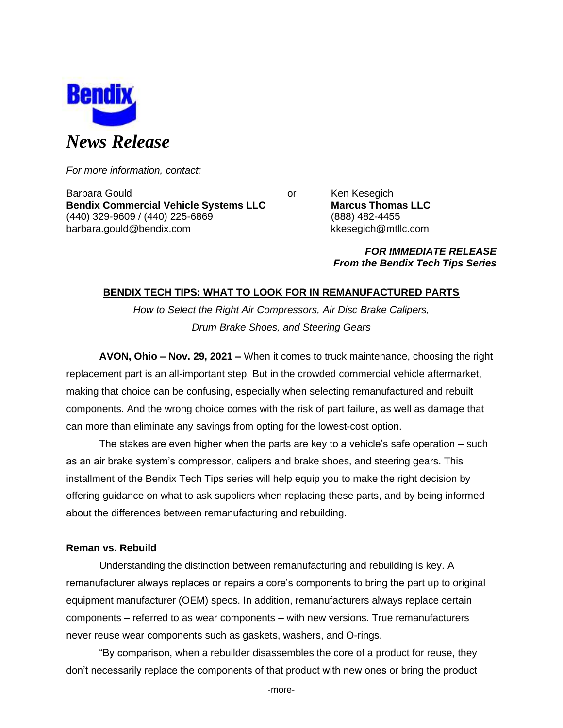

*For more information, contact:*

Barbara Gould **Communist Communist Communist Communist Communist Communist Communist Communist Communist Communist Communist Communist Communist Communist Communist Communist Communist Communist Communist Communist Communi Bendix Commercial Vehicle Systems LLC Marcus Thomas LLC** (440) 329-9609 / (440) 225-6869 (888) 482-4455 barbara.gould@bendix.com kkesegich@mtllc.com

*FOR IMMEDIATE RELEASE From the Bendix Tech Tips Series*

# **BENDIX TECH TIPS: WHAT TO LOOK FOR IN REMANUFACTURED PARTS**

*How to Select the Right Air Compressors, Air Disc Brake Calipers, Drum Brake Shoes, and Steering Gears*

**AVON, Ohio – Nov. 29, 2021 –** When it comes to truck maintenance, choosing the right replacement part is an all-important step. But in the crowded commercial vehicle aftermarket, making that choice can be confusing, especially when selecting remanufactured and rebuilt components. And the wrong choice comes with the risk of part failure, as well as damage that can more than eliminate any savings from opting for the lowest-cost option.

The stakes are even higher when the parts are key to a vehicle's safe operation – such as an air brake system's compressor, calipers and brake shoes, and steering gears. This installment of the Bendix Tech Tips series will help equip you to make the right decision by offering guidance on what to ask suppliers when replacing these parts, and by being informed about the differences between remanufacturing and rebuilding.

# **Reman vs. Rebuild**

Understanding the distinction between remanufacturing and rebuilding is key. A remanufacturer always replaces or repairs a core's components to bring the part up to original equipment manufacturer (OEM) specs. In addition, remanufacturers always replace certain components – referred to as wear components – with new versions. True remanufacturers never reuse wear components such as gaskets, washers, and O-rings.

"By comparison, when a rebuilder disassembles the core of a product for reuse, they don't necessarily replace the components of that product with new ones or bring the product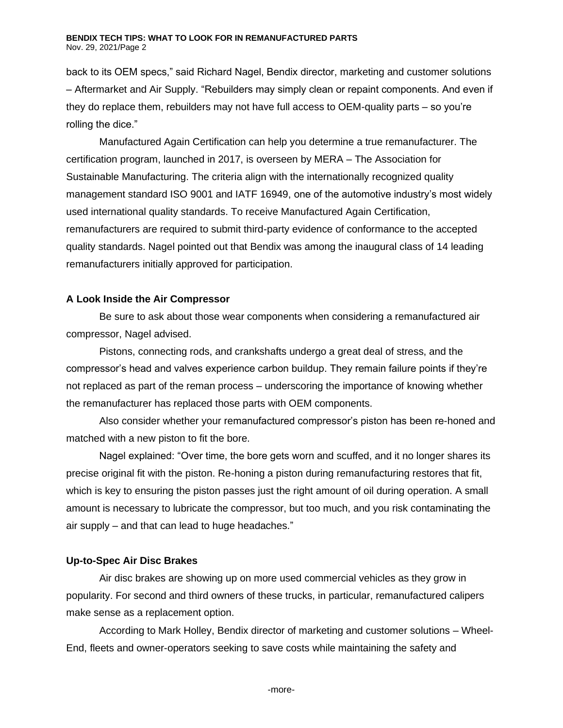#### **BENDIX TECH TIPS: WHAT TO LOOK FOR IN REMANUFACTURED PARTS** Nov. 29, 2021/Page 2

back to its OEM specs," said Richard Nagel, Bendix director, marketing and customer solutions – Aftermarket and Air Supply. "Rebuilders may simply clean or repaint components. And even if they do replace them, rebuilders may not have full access to OEM-quality parts – so you're rolling the dice."

Manufactured Again Certification can help you determine a true remanufacturer. The certification program, launched in 2017, is overseen by MERA – The Association for Sustainable Manufacturing. The criteria align with the internationally recognized quality management standard ISO 9001 and IATF 16949, one of the automotive industry's most widely used international quality standards. To receive Manufactured Again Certification, remanufacturers are required to submit third-party evidence of conformance to the accepted quality standards. Nagel pointed out that Bendix was among the inaugural class of 14 leading remanufacturers initially approved for participation.

## **A Look Inside the Air Compressor**

Be sure to ask about those wear components when considering a remanufactured air compressor, Nagel advised.

Pistons, connecting rods, and crankshafts undergo a great deal of stress, and the compressor's head and valves experience carbon buildup. They remain failure points if they're not replaced as part of the reman process – underscoring the importance of knowing whether the remanufacturer has replaced those parts with OEM components.

Also consider whether your remanufactured compressor's piston has been re-honed and matched with a new piston to fit the bore.

Nagel explained: "Over time, the bore gets worn and scuffed, and it no longer shares its precise original fit with the piston. Re-honing a piston during remanufacturing restores that fit, which is key to ensuring the piston passes just the right amount of oil during operation. A small amount is necessary to lubricate the compressor, but too much, and you risk contaminating the air supply – and that can lead to huge headaches."

# **Up-to-Spec Air Disc Brakes**

Air disc brakes are showing up on more used commercial vehicles as they grow in popularity. For second and third owners of these trucks, in particular, remanufactured calipers make sense as a replacement option.

According to Mark Holley, Bendix director of marketing and customer solutions – Wheel-End, fleets and owner-operators seeking to save costs while maintaining the safety and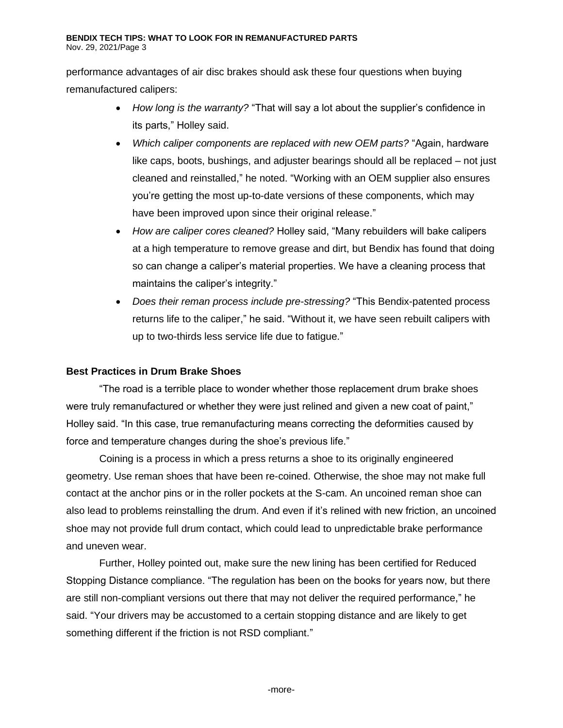performance advantages of air disc brakes should ask these four questions when buying remanufactured calipers:

- *How long is the warranty?* "That will say a lot about the supplier's confidence in its parts," Holley said.
- *Which caliper components are replaced with new OEM parts?* "Again, hardware like caps, boots, bushings, and adjuster bearings should all be replaced – not just cleaned and reinstalled," he noted. "Working with an OEM supplier also ensures you're getting the most up-to-date versions of these components, which may have been improved upon since their original release."
- *How are caliper cores cleaned?* Holley said, "Many rebuilders will bake calipers at a high temperature to remove grease and dirt, but Bendix has found that doing so can change a caliper's material properties. We have a cleaning process that maintains the caliper's integrity."
- *Does their reman process include pre-stressing?* "This Bendix-patented process returns life to the caliper," he said. "Without it, we have seen rebuilt calipers with up to two-thirds less service life due to fatigue."

# **Best Practices in Drum Brake Shoes**

"The road is a terrible place to wonder whether those replacement drum brake shoes were truly remanufactured or whether they were just relined and given a new coat of paint," Holley said. "In this case, true remanufacturing means correcting the deformities caused by force and temperature changes during the shoe's previous life."

Coining is a process in which a press returns a shoe to its originally engineered geometry. Use reman shoes that have been re-coined. Otherwise, the shoe may not make full contact at the anchor pins or in the roller pockets at the S-cam. An uncoined reman shoe can also lead to problems reinstalling the drum. And even if it's relined with new friction, an uncoined shoe may not provide full drum contact, which could lead to unpredictable brake performance and uneven wear.

Further, Holley pointed out, make sure the new lining has been certified for Reduced Stopping Distance compliance. "The regulation has been on the books for years now, but there are still non-compliant versions out there that may not deliver the required performance," he said. "Your drivers may be accustomed to a certain stopping distance and are likely to get something different if the friction is not RSD compliant."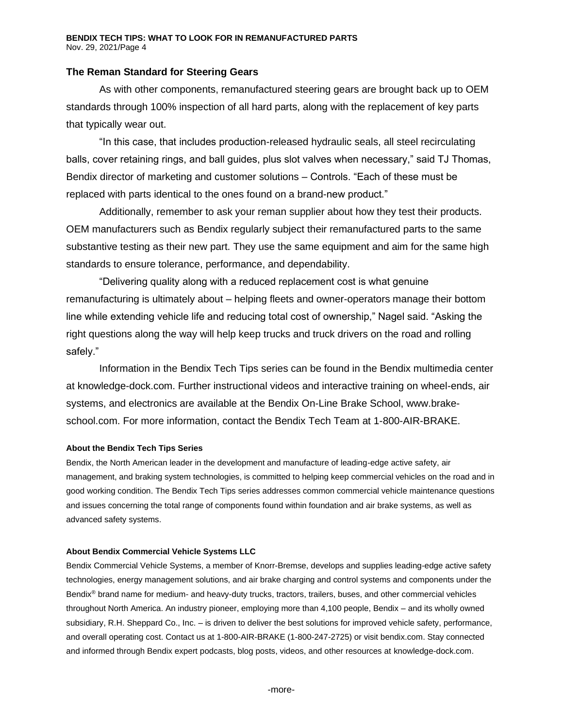## **The Reman Standard for Steering Gears**

As with other components, remanufactured steering gears are brought back up to OEM standards through 100% inspection of all hard parts, along with the replacement of key parts that typically wear out.

"In this case, that includes production-released hydraulic seals, all steel recirculating balls, cover retaining rings, and ball guides, plus slot valves when necessary," said TJ Thomas, Bendix director of marketing and customer solutions – Controls. "Each of these must be replaced with parts identical to the ones found on a brand-new product."

Additionally, remember to ask your reman supplier about how they test their products. OEM manufacturers such as Bendix regularly subject their remanufactured parts to the same substantive testing as their new part. They use the same equipment and aim for the same high standards to ensure tolerance, performance, and dependability.

"Delivering quality along with a reduced replacement cost is what genuine remanufacturing is ultimately about – helping fleets and owner-operators manage their bottom line while extending vehicle life and reducing total cost of ownership," Nagel said. "Asking the right questions along the way will help keep trucks and truck drivers on the road and rolling safely."

Information in the Bendix Tech Tips series can be found in the Bendix multimedia center at knowledge-dock.com. Further instructional videos and interactive training on wheel-ends, air systems, and electronics are available at the Bendix On-Line Brake School, [www.brake](http://www.brake-school.com/)[school.com.](http://www.brake-school.com/) For more information, contact the Bendix Tech Team at 1-800-AIR-BRAKE.

#### **About the Bendix Tech Tips Series**

Bendix, the North American leader in the development and manufacture of leading-edge active safety, air management, and braking system technologies, is committed to helping keep commercial vehicles on the road and in good working condition. The Bendix Tech Tips series addresses common commercial vehicle maintenance questions and issues concerning the total range of components found within foundation and air brake systems, as well as advanced safety systems.

### **About Bendix Commercial Vehicle Systems LLC**

Bendix Commercial Vehicle Systems, a member of Knorr-Bremse, develops and supplies leading-edge active safety technologies, energy management solutions, and air brake charging and control systems and components under the Bendix® brand name for medium- and heavy-duty trucks, tractors, trailers, buses, and other commercial vehicles throughout North America. An industry pioneer, employing more than 4,100 people, Bendix – and its wholly owned subsidiary, R.H. Sheppard Co., Inc. – is driven to deliver the best solutions for improved vehicle safety, performance, and overall operating cost. Contact us at 1-800-AIR-BRAKE (1-800-247-2725) or visi[t bendix.com.](http://www.bendix.com/) Stay connected and informed through Bendix expert podcasts, blog posts, videos, and other resources at [knowledge-dock.c](http://www.safertrucks.com/knowledge-dock)om.